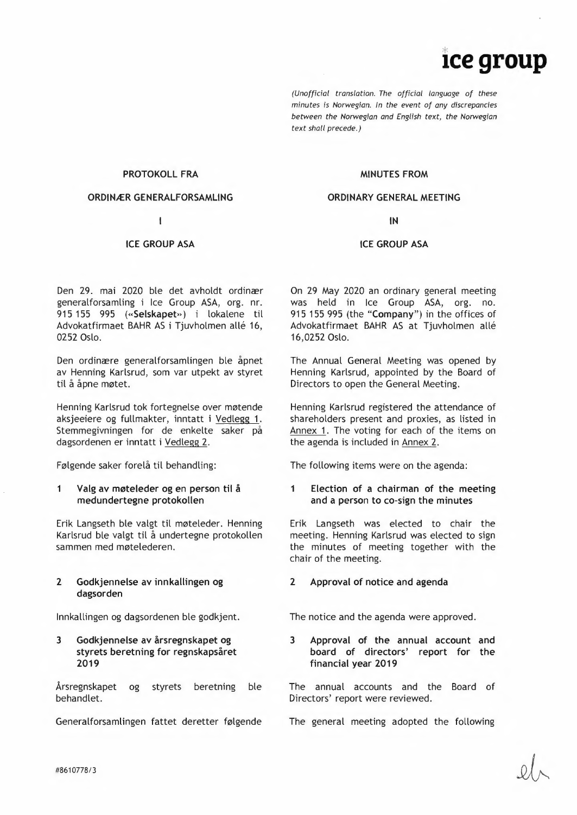# **1ce group**

*(Unofficial translation. The official language of these minutes is Norwegian. In the event of any discrepancies between the Norwegian and English text, the Norwegian text shalt precede.)* 

#### **PROTOKOLL FRA**

#### **ORDINER GENERALFORSAMLING**

 $\mathbf{I}$ 

# **ICE GROUP ASA**

Den 29. mai 2020 ble det avholdt ordinær generalforsamling i Ice Group ASA, org. nr. 915 155 995 **(«Selskapet»)** i lokalene til Advokatfirmaet BAHR AS i Tjuvholmen allé 16, 0252 Oslo.

Den ordinære generalforsamlingen ble åpnet av Henning Karlsrud, som var utpekt av styret til å åpne møtet.

Henning Karlsrud tok fortegnelse over møtende aksjeeiere og fullmakter, inntatt i Vedlegg 1. Stemmegivningen for de enkelte saker på dagsordenen er inntatt i Vedlegg 2.

Følgende saker forelå til behandling:

# **<sup>1</sup>Valg av møteleder og en person til å medundertegne protokollen**

Erik Langseth ble valgt til møteleder. Henning Karlsrud ble valgt til å undertegne protokollen sammen med møtelederen.

# **2 Godkjennelse av innkallingen og dagsorden**

Innkallingen og dagsordenen ble godkjent.

**3 Godkjennelse av årsregnskapet og styrets beretning for regnskapsåret 2019** 

Årsregnskapet og styrets beretning ble behandlet.

Generalforsamlingen fattet deretter følgende

# **MINUTES FROM**

#### **ORDINARY GENERAL MEETING**

**IN** 

#### **ICE GROUP ASA**

On 29 May 2020 an ordinary general meeting was held in Ice Group ASA, org. no. 915 155 995 (the **"Company")** in the offices of Advokatfirmaet BAHR AS at Tjuvholmen allé 16,0252 Oslo.

The Annual General Meeting was opened by Henning Karlsrud, appointed by the Board of Directors to open the General Meeting.

Henning Karlsrud registered the attendance of shareholders present and proxies, as listed in Annex 1. The voting for each of the items on the agenda is included in Annex 2.

The following items were on the agenda:

# **1 Election of a chairman of the meeting and a person to co-sign the minutes**

Erik Langseth was elected to chair the meeting. Henning Karlsrud was elected to sign the minutes of meeting together with the chair of the meeting.

# **2 Approval of notice and agenda**

The notice and the agenda were approved.

**3 Approval of the annual account and board of directors' report for the financial year 2019** 

The annual accounts and the Board of Directors' report were reviewed.

The general meeting adopted the following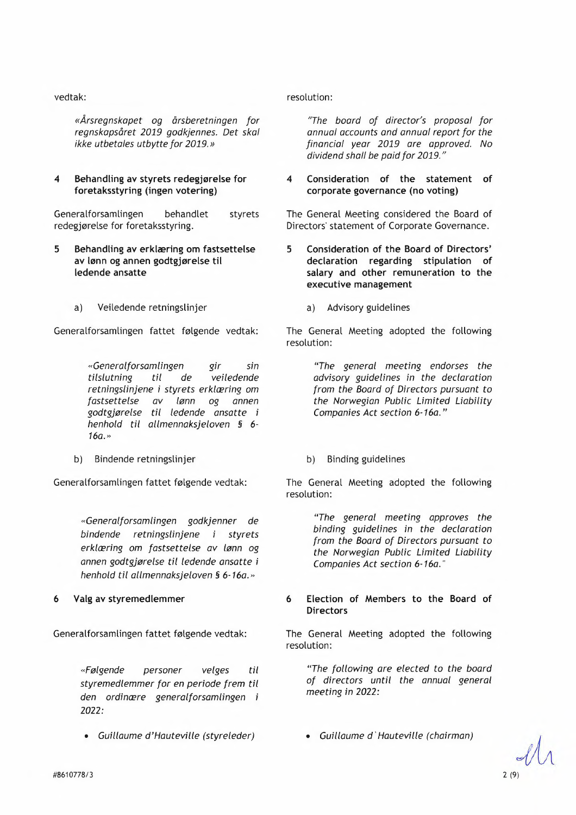# vedtak:

*«Årsregnskapet og årsberetningen for regnskapsåret 2019 godkjennes. Det skal ikke utbetales utbytte for 2019.*»

# **4 Behandling av styrets redegjørelse for foretaksstyring (ingen votering)**

Generalforsamlingen behandlet redegjørelse for foretaksstyring. styrets

- **5 Behandling av erklæring om fastsettelse av lønn og annen godtgjørelse til ledende ansatte** 
	- a) Veiledende retningslinjer

Generalforsamlingen fattet følgende vedtak:

*«Generalforsamlingen gir sin tilslutning til de veiledende retningslinjene* i *styrets erklæring om fastsettelse av lønn og annen godtgjørelse til ledende ansatte* <sup>i</sup> *henhold til allmennaksjeloven §* 6- *16a.»* 

b) Bindende retningslinjer

Generalforsamlingen fattet følgende vedtak:

*«Generalforsamlingen godkjenner de bindende retningslinjene i styrets erklæring om fastsettelse av lønn og annen godtgjorelse til ledende ansatte* <sup>i</sup> *henhold til allmennaksjeloven S 6-16a.*»

# **6 Valg av styremedlemmer**

Generalforsamlingen fattet følgende vedtak:

*«Folgende personer velges til styremedlemmer for en periode frem til den ordinære generalforsamlingen* <sup>i</sup> **2022:**  den ordinære generalforsamlingen i *meeting in 2022*.<br>2022:<br>• Guillaume d'Hauteville (styreleder) • Guillaume d'Hauteville (chairman)<br>#8610778/3 2 (9)

*• Guillaume d'Hauteville (styreleder)* 

resolution:

*"The board of director's proposal for annual accounts and annual report for the financial year 2019 are approved. No dividend shall be paid for 2019."* 

# **4 Consideration of the statement of corporate governance (no voting)**

The General Meeting considered the Board of Directors' statement of Corporate Governance.

- **5 Consideration of the Board of Directors' declaration regarding stipulation of salary and other remuneration to the executive management** 
	- a) Advisory guidelines

The General Meeting adopted the following resolution:

> *"The general meeting endorses the advisory guidelines in the declaration from the Board of Directors pursuant to the Norwegian Public Limited Liability Companies Act section 6-16a."*

b) Binding guidelines

The General Meeting adopted the following resolution:

> *"The general meeting approves the binding guidelines in the declaration from the Board of Directors pursuant to the Norwegian Public Limited Liability Companies Act section 6-16a."*

# **6 Election of Members to the Board of Directors**

The General Meeting adopted the following resolution:

*"The following are elected to the board of directors until the annual general meeting in* 2022:

*• Guillaume d'Hauteville (chairman)*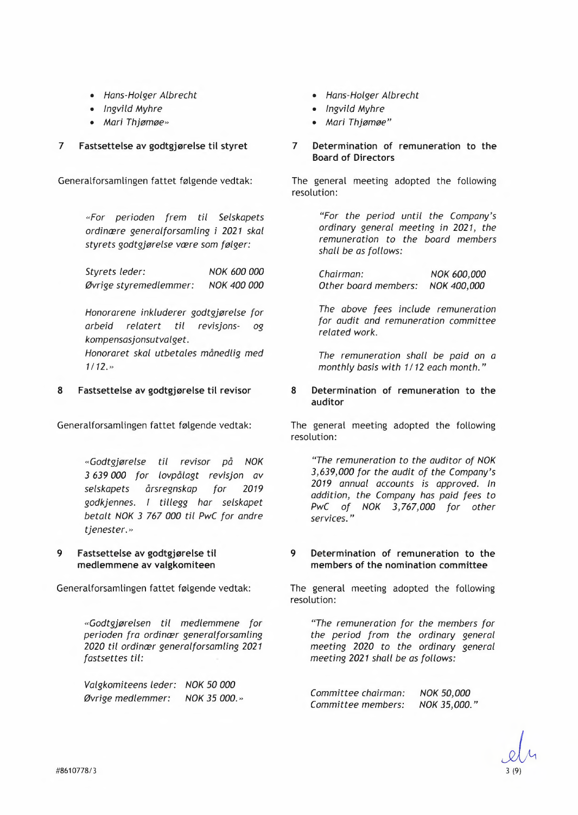- *Hans-Holger Albrecht*
- *Ingvild Myhre*
- *Mari Thjomoe»*

# **7 Fastsettelse av godtgjørelse til styret**

Generalforsamlingen fattet følgende vedtak:

*«For perioden frem til Selskapets ordin@ere generalforsamling* i *2021 skal styrets godtgjorelse v@ere som flger:* 

*Styrets leder: Ovrige styremedlemmer: NOK 600 000 NOK 400 000* 

*Honorarene inkluderer godtgjorelse for arbeid relatert til revisjons- og kompensasjonsutvalget. Honoraret skal utbetales månedlig med 1/12.»* 

# **8 Fastsettelse av godtgjørelse til revisor**

Generalforsamlingen fattet følgende vedtak:

*«Godtgjorelse til revisor pd NOK 3 639 000 for lovpålagt revisjon av selskapets årsregnskap for 2019 godkjennes. I tillegg har selskapet betalt NOK 3* 767 *000 til PwC for andre tjenester.»* 

**9 Fastsettelse av godtgjørelse til medlemmene av valgkomiteen** 

Generalforsamlingen fattet følgende vedtak:

*«Godtgjorelsen til medlemmene for perioden fra ordinaer generalforsamling 2020 til ordincr generalforsamling 2021 fastsettes til:* 

*Valgkomiteens leder: NOK 50 000 Ovrige medlemmer: NOK 35 000.»* 

- *Hans-Holger Albrecht*
- *Ingvild Myhre*
- *Mari Thjømøe"*
- **7 Determination of remuneration to the Board of Directors**

The general meeting adopted the following resolution:

> *"For the period until the Company's ordinary general meeting in 2021, the remuneration to the board members shall be as follows:*

*Chairman: Other board members: NOK 600,000 NOK 400,000* 

*The above fees include remuneration for audit and remuneration committee related work.* 

*The remuneration shall be paid on a monthly basis with 1/12 each month."* 

**8 Determination of remuneration to the auditor** 

The general meeting adopted the following resolution:

*"The remuneration to the auditor of NOK 3,639,000 for the audit of the Company's 2019 annual accounts is approved. In addition, the Company has paid fees to PwC of NOK 3,767,000 for other services."* 

# **9 Determination of remuneration to the members of the nomination committee**

The general meeting adopted the following resolution:

*"The remuneration for the members for the period from the ordinary general meeting 2020 to the ordinary general meeting 2021 shall be as follows:* 

*Committee chairman: Committee members: NOK 50,000 NOK 35,000."*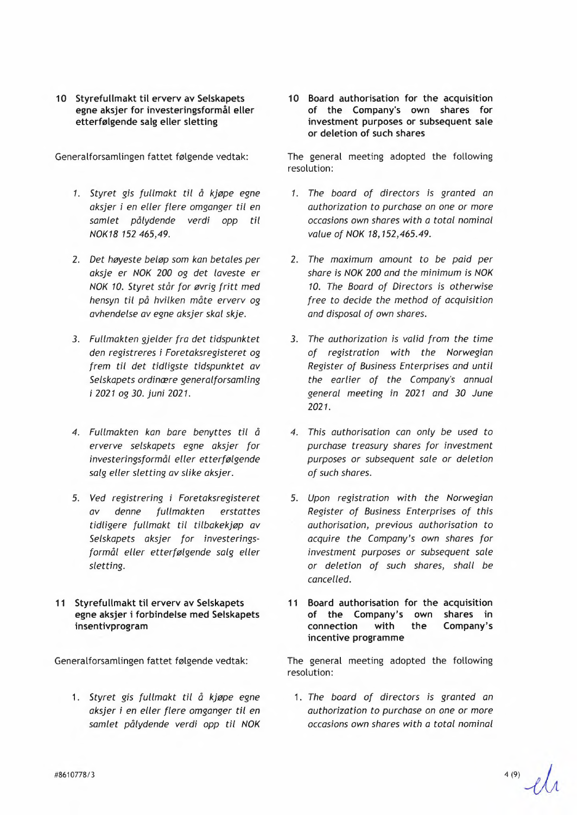**10 Styrefullmakt til erverv av Selskapets egne aksjer for investeringsformål eller etterfølgende salg eller sletting** 

Generalforsamlingen fattet følgende vedtak:

- *1. Styret gis fullmakt til ä kjope egne aksjer* i *en eller flere omganger til en samlet pålydende verdi opp til NOK18 152 465,49.*
- 2. *Det høyeste beløp* som *kan betales per aksje er NOK 200 og det laveste er NOK 10. Styret står for øvrig fritt med hensyn til på hvilken måte erverv og avhendelse av egne aksjer skal skje.*
- *3. Fullmakten gjelder fra det tidspunktet den registreres* i *Foretaksregisteret og frem til det tidligste tidspunktet av Selskapets ordin@ere generalforsamling*  <sup>i</sup>*2021 0g 30. juni 2021.*
- *4. Fullmakten kan bare benyttes til <sup>å</sup> erverve selskapets egne aksjer for investeringsformäl eller etterfolgende salg eller sletting av slike aksjer.*
- 5. *Ved registrering* i *Foretaksregisteret av denne fullmakten erstattes tidligere fullmakt til tilbakekjop av Selskapets aksjer for investeringsform~l eller etterfolgende salg eller sletting.*
- **11 Styrefullmakt til erverv av Selskapets egne aksjer i forbindelse med Selskapets insentivprogram**

Generalforsamlingen fattet følgende vedtak:

1. *Styret gis fullmakt til ä kjope egne aksjer* i *en eller flere omganger til en samlet pålydende verdi opp til NOK* 

**10 Board authorisation for the acquisition of the Company's own shares for investment purposes or subsequent sale or deletion of such shares** 

The general meeting adopted the following resolution:

- *1. The board of directors is granted an authorization to purchase on one or more occasions own shares with a total nominal value of NOK 18,152,465.49.*
- 2. *The maximum amount to be paid per share is NOK 200 and the minimum is NOK 10. The Board of Directors is otherwise free to decide the method of acquisition and disposal of own shares.*
- *3. The authorization is valid from the time of registration with the Norwegian Register of Business Enterprises and until the earlier of the Company's annual general meeting in 2021 and 30 June 2021.*
- *4. This authorisation can only be used to purchase treasury shares for investment purposes or subsequent sale or deletion of such shares.*
- 5. *Upon registration with the Norwegian Register of Business Enterprises of this authorisation, previous authorisation to acquire the Company's own shares for investment purposes or subsequent sale or deletion of such shares, shall be cancelled.*
- **11 Board authorisation for the acquisition of the Company's own shares in connection with the Company's incentive programme**

The general meeting adopted the following resolution:

1. *The board of directors* is *granted an authorization to purchase on one or more occasions own shares with a total nominal* 

#8610778/3 **4(9)~**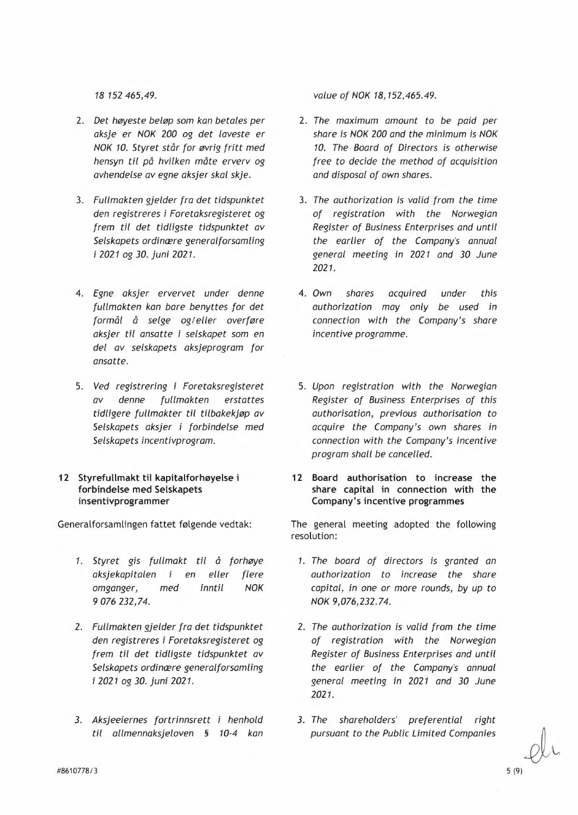- 2. *Det høyeste beløp som kan betales per aksje er NOK 200 og det laveste er NOK 10. Styret står for øvrig fritt med hensyn til på hvilken måte erverv og avhendelse av egne aksjer skal skje.*
- 3. *Fullmakten gjelder fra det tidspunktet den registreres* i *Foretaksregisteret og frem til det tidligste tidspunktet av Selskapets ordin@ere generalforsamling*  <sup>i</sup>*2021 og 30. juni 2021.*
- 4. *Egne aksjer ervervet under denne fullmakten kan bare benyttes for det*  formål å selge og/eller overføre *aksjer til ansatte* i *selskapet som en del av selskapets aksjeprogram for ansatte.*
- 5. *Ved registrering* i *Foretaksregisteret av denne fullmakten erstattes tidligere fullmakter til tilbakekjøp av Selskapets aksjer* i *forbindelse med Selskapets incentivprogram.*
- **12 Styrefullmakt til kapitalforhøyelse i forbindelse med Selskapets insentivprogrammer**

Generalforsamlingen fattet følgende vedtak:

- *1. Styret gis fullmakt til å forhøye aksjekapitalen*  aksjekapitalen i<br>omganger, mec <sup>9</sup>*076 232,74. med en eller flere inntil NOK*
- 2. *Fullmakten gjelder fra det tidspunktet den registreres* i *Foretaksregisteret og frem til det tidligste tidspunktet av Selskapets ordin@ere generalforsamling*  <sup>i</sup>*2021 og 30. juni 2021.*
- *3. Aksjeeiernes fortrinnsrett* i *henhold til allmennaksjeloven § 10-4 kan*

*18 152 465,49. value of NOK 18,152,465.49.* 

- 2. *The maximum amount to be paid per share is NOK 200 and the minimum is NOK 10. The Board of Directors is otherwise free to decide the method of acquisition and disposal of own shares.*
- 3. *The authorization is valid from the time of registration with the Norwegian Register of Business Enterprises and until the earlier of the Company's annual general meeting in 2021 and 30 June 2021.*
- 4. *Own shares acquired under this authorization may only be used in connection with the Company's share incentive programme.*
- 5. *Upon registration with the Norwegian Register of Business Enterprises of this authorisation, previous authorisation to acquire the Company's own shares in connection with the Company's incentive program shall be cancelled.*
- **12 Board authorisation to increase the share capital in connection with the Company's incentive programmes**

The general meeting adopted the following resolution:

- *1. The board of directors is granted an authorization to increase the share capital, in one or more rounds, by up to NOK 9,076,232.74.*
- 2. *The authorization is valid from the time of registration with the Norwegian Register of Business Enterprises and until the earlier of the Company's annual general meeting in 2021 and 30 June 2021.*
- *3. The shareholders' preferential right pursuant to the Public Limited Companies*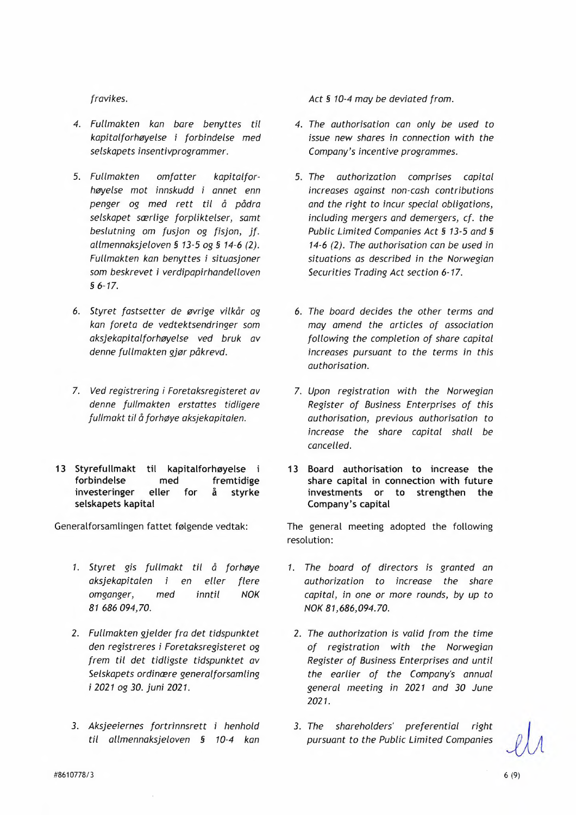# *fravikes.*

- *4. Fullmakten kan bare benyttes til kapitalforhøyelse* i *forbindelse med selskapets insentivprogrammer.*
- *5. Fullmakten omfatter kapitalforhøyelse mot innskudd* i *annet enn penger og med rett til d pädra selskapet særlige forpliktelser, samt beslutning* om *fusjon og fisjon, jf. allmennaksjeloven 5 13-5 0g 5 14-6 (2). Fullmakten kan benyttes* i *situasjoner som beskrevet* i *verdipapirhandelloven \$6-17.*
- 6. *Styret fastsetter de øvrige vilkår og kan foreta de vedtektsendringer som aksjekapitalforhøyelse ved bruk av denne fullmakten gjør påkrevd.*
- 7. *Ved registrering i Foretaksregisteret av denne fullmakten erstattes tidligere fullmakt til å forhøye aksjekapitalen.*
- **13 Styrefullmakt til kapitalforhøyelse** <sup>i</sup> **forbindelse med fremtidige investeringer eller for ä styrke selskapets kapital**

Generalforsamlingen fattet følgende vedtak:

- *1. Styret gis fullmakt til å forhøye*  aksjekapitalen i en eller flere *omganger, med inntil NOK 81 686 094,70.*
- 2. *Fullmakten gjelder fra det tidspunktet den registreres* i *Foretaksregisteret og frem til det tidligste tidspunktet av Selskapets ordinere generalforsamling*  <sup>i</sup>*2021 og 30. juni 2021.*
- *3. Aksjeeiernes fortrinnsrett* i *henhold til allmennaksjeloven § 10-4 kan*

*Act 5 10-4 may be deviated from.* 

- *4. The authorisation can only be used to issue new shares in connection with the Company's incentive programmes.*
- *5. The authorization comprises capital increases against non-cash contributions and the right to incur special obligations, including mergers and demergers, cf. the Public Limited Companies Act§ 13-5 and§ 14-6 (2). The authorisation can be used in situations as described in the Norwegian Securities Trading Act section 6-17.*
- 6. *The board decides the other terms and may amend the articles of association following the completion of share capital increases pursuant to the terms in this authorisation.*
- 7. *Upon registration with the Norwegian Register of Business Enterprises of this authorisation, previous authorisation to increase the share capital shall be cancelled.*
- **13 Board authorisation to increase the share capital in connection with future investments or to strengthen the Company's capital**

The general meeting adopted the following resolution:

- *1. The board of directors is granted an authorization to increase the share capital, in one or more rounds, by up to NOK 81,686,094.70.* 
	- 2. *The authorization is valid from the time of registration with the Norwegian Register of Business Enterprises and until the earlier of the Company's annual general meeting in 2021 and 30 June 2021.*
- *3. The shareholders' preferential right pursuant to the Public Limited Companies ls*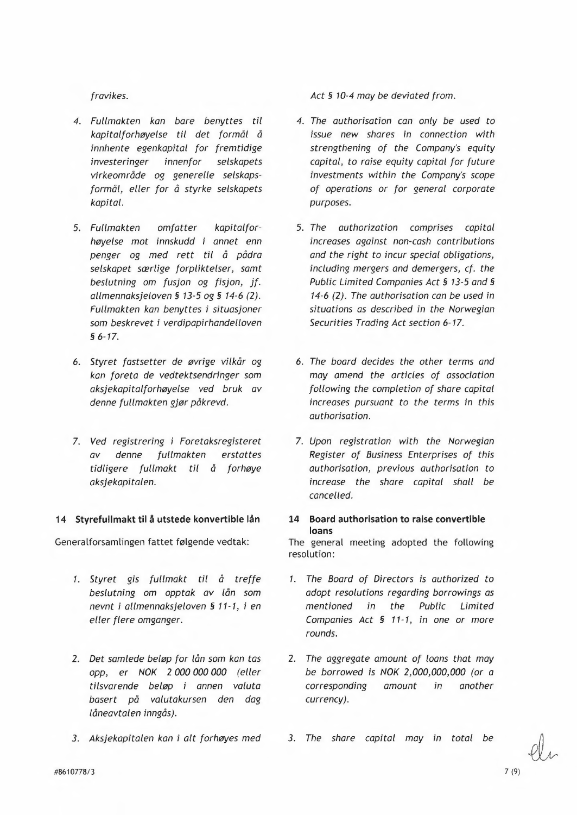- *4. Fullmakten kan bare benyttes til kapitalforhøyelse til det formål å innhente egenkapital for fremtidige investeringer innenfor selskapets*  virkeområde og generelle selskaps*formål, eller for å styrke selskapets kapital.*
- *5. Fullmakten omfatter kapitalforhoyelse mot innskudd* i *annet enn penger og med rett til ä pädra selskapet særlige forpliktelser, samt beslutning* om *fusjon og fisjon, jf. allmennaksjeloven \$5 13-5 0g 5 14-6 (2). Fullmakten kan benyttes* i *situasjoner*  som *beskrevet* i *verdipapirhandelloven 56-17.*
- 6. *Styret fastsetter de ovrige vilkär og kan foreta de vedtektsendringer* som *aksjekapitalforhøyelse ved bruk av denne fullmakten gjør påkrevd.*
- 7. *Ved registrering* i *Foretaksregisteret denne fullmakten tidligere fullmakt til å for høye aksjekapitalen.*

# **14 Styrefullmakt til å utstede konvertible lån**

Generalforsamlingen fattet følgende vedtak:

- *1. Styret gis fullmakt til å treffe beslutning* om *opptak av lån* som *nevnt* i *allmennaksjeloven § 11-1,* <sup>i</sup>*en eller flere omganger.*
- 2. *Det samlede beløp for lån* som *kan tas opp, er NOK 2 000 000 000 (eller tilsvarende beløp* i *annen valuta basert på valutakursen den dag läneavtalen inngds).*
- *3. Aksjekapitalen kan* i *alt forhøyes med*

*fravikes. Act§ 10-4 may be deviated from.* 

- *4. The authorisation can only be used to issue new shares in connection with strengthening of the Company's equity capital, to raise equity capital for future investments within the Company's scope of operations or for general corporate purposes.*
- *5. The authorization comprises capital increases against non-cash contributions and the right to incur special obligations, including mergers and demergers, cf. the Public Limited Companies Act§ 13-5 and§ 14-6 (2). The authorisation can be used in situations as described in the Norwegian Securities Trading Act section 6-17.*
- 6. *The board decides the other terms and may amend the articles of association following the completion of share capital increases pursuant to the terms in this authorisation.*
- 7. *Upon registration with the Norwegian Register of Business Enterprises of this authorisation, previous authorisation to increase the share capital shall be cancelled.*

# **14 Board authorisation to raise convertible loans**

The general meeting adopted the following resolution:

- 1. The Board of Directors is authorized to *adopt resolutions regarding borrowings as mentioned in the Public Limited Companies Act § 11-1, in one or more rounds.*
- 2. *The aggregate amount of loans that may be borrowed* is *NOK 2,000,000,000 (or a cor esponding currency). amount in another*
- 3. The share capital may in total be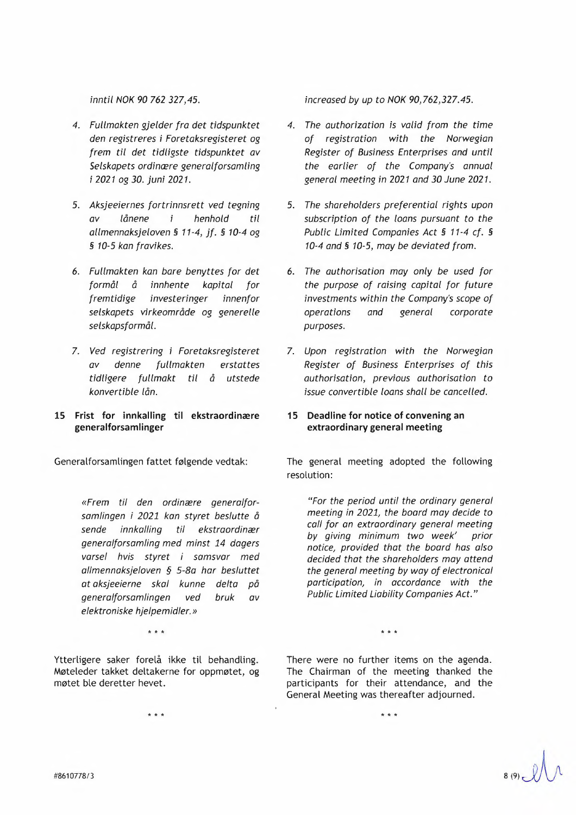*inntil NOK 90* 762 *327,45.* 

- *4. Fullmakten gjelder fra det tidspunktet den registreres* i *Foretaksregisteret og frem til det tidligste tidspunktet av Selskapets ordinaere generalforsamling*  <sup>1</sup>*2021 0g 30. juni 2021.*
- *5. Aksjeeiernes fortrinnsrett ved tegning av lånene henhold til allmennaksjeloven 5 11-4, jf. 5 10-4 0g \$ 10-5 kan fravikes.*
- 6. *Fullmakten kan bare benyttes for det formål å innhente kapital for fremtidige investeringer innenfor selskapets virkeomr~de og generelle selskaps/ or mål.*
- 7. *Ved registrering* i *Foretaksregisteret av denne fullmakten erstattes tidligere fullmakt til d utstede konvertible lån.*
- **<sup>15</sup>Frist for innkalling til ekstraordinære generalforsamlinger**

Generalforsamlingen fattet følgende vedtak:

*«Frem til den ordinære generalforsamlingen i 2021 kan styret beslutte d sende innkalling til ekstraordinær generalforsamling med minst 14 dagers varsel hvis styret i samsvar med allmennaksjeloven § 5-Ba har besluttet at aksjeeierne skal kunne delta på generalforsamlingen ved bruk av elektroniske hjelpemidler.»* 

Ytterligere saker forelå ikke til behandling. Møteleder takket deltakerne for oppmøtet, og møtet ble deretter hevet.

k k k

*increased by up to NOK 90,762,327.45.* 

- *4. The authorization is valid from the time of registration with the Norwegian Register of Business Enterprises and until the earlier of the Company's annual general meeting in 2021 and 30 June 2021.*
- *5. The shareholders preferential rights upon subscription of the loans pursuant to the Public Limited Companies Act § 11-4 cf. § 10-4 and§ 10-5, may be deviated from.*
- 6. *The authorisation may only be used for the purpose of raising capital for future investments within the Company's scope of operations and general corporate purposes.*
- 7. *Upon registration with the Norwegian Register of Business Enterprises of this authorisation, previous authorisation to issue convertible loans shall be cancelled.*

# **15 Deadline for notice of convening an extraordinary general meeting**

The general meeting adopted the following resolution:

*"For the period until the ordinary general meeting in 2021, the board may decide to call for an extraordinary general meeting*  by giving minimum two week' *notice, provided that the board has also decided that the shareholders may attend the general meeting by way of electronical participation, in accordance with the Public Limited Liability Companies Act."* 

There were no further items on the agenda. The Chairman of the meeting thanked the participants for their attendance, and the General Meeting was thereafter adjourned.

 $\star$ 

k k k k¢ k k

#8610778/3 **8 (9)** 3 (9)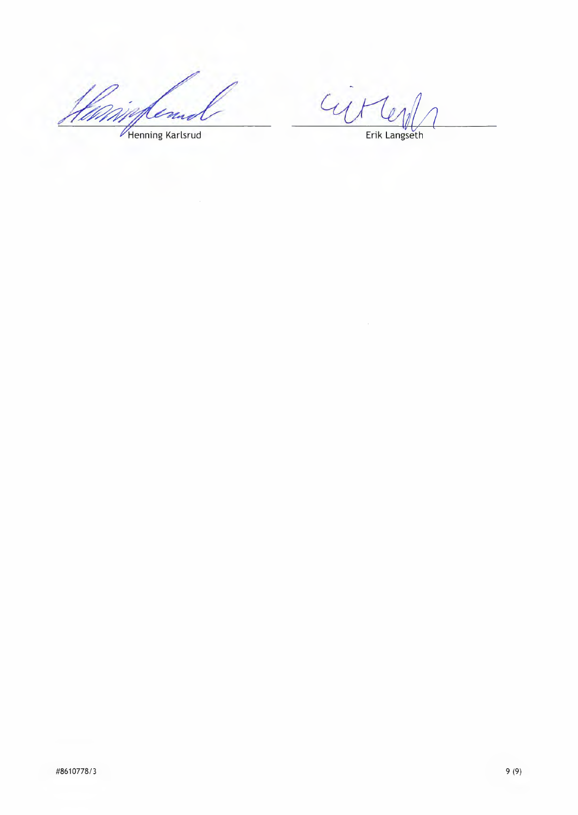en Ũ,

CUM Len

Henning Karlsrud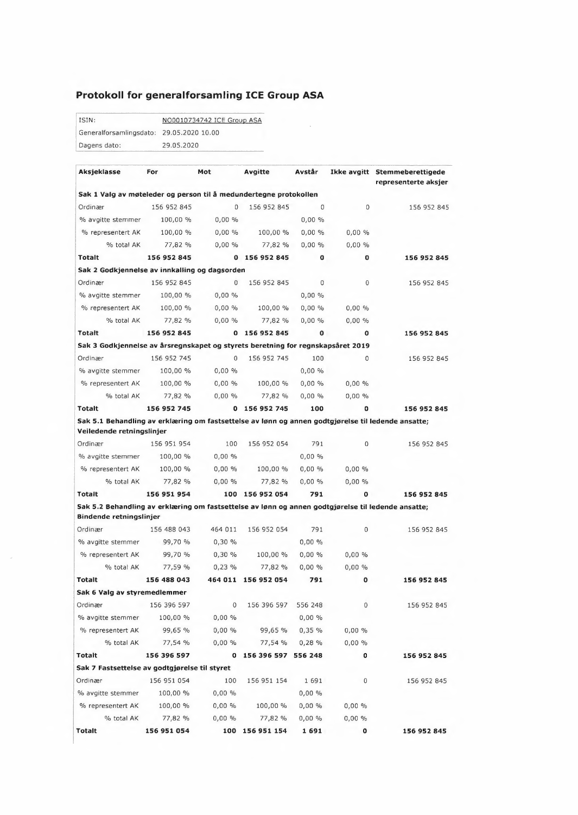# **Protokoll for generalforsamling ICE Group ASA**

ISIN: NO0010734742 ICE Group ASA Generalforsamlingsdato: 29.05.2020 10.00 Dagens dato: 29.05.2020

| Aksjeklasse                                                                                                                     | For         | Mot      | Avgitte               | Avstår   |             | Ikke avgitt Stemmeberettigede<br>representerte aksjer |
|---------------------------------------------------------------------------------------------------------------------------------|-------------|----------|-----------------------|----------|-------------|-------------------------------------------------------|
| Sak 1 Valg av møteleder og person til å medundertegne protokollen                                                               |             |          |                       |          |             |                                                       |
| Ordinær                                                                                                                         | 156 952 845 | 0        | 156 952 845           | $\Omega$ | 0           | 156 952 845                                           |
| % avgitte stemmer                                                                                                               | 100,00 %    | $0,00\%$ |                       | 0,00%    |             |                                                       |
| % representert AK                                                                                                               | 100,00 %    | 0,00%    | 100,00 %              | 0,00%    | 0,00%       |                                                       |
| % total AK                                                                                                                      | 77,82 %     | 0,00%    | 77,82 %               | 0,00%    | 0,00%       |                                                       |
| Totalt                                                                                                                          | 156 952 845 |          | 0 156 952 845         | o        | 0           | 156 952 845                                           |
| Sak 2 Godkjennelse av innkalling og dagsorden                                                                                   |             |          |                       |          |             |                                                       |
| Ordinær                                                                                                                         | 156 952 845 | 0        | 156 952 845           | 0        | 0           | 156 952 845                                           |
| % avgitte stemmer                                                                                                               | 100,00 %    | $0,00\%$ |                       | 0,00%    |             |                                                       |
| % representert AK                                                                                                               | 100,00 %    | 0,00%    | 100,00 %              | 0,00%    | 0,00%       |                                                       |
| % total AK                                                                                                                      | 77,82 %     | $0,00\%$ | 77,82 %               | 0,00%    | 0,00%       |                                                       |
| Totalt                                                                                                                          | 156 952 845 |          | 0 156 952 845         | 0        | $\mathbf o$ | 156 952 845                                           |
| Sak 3 Godkjennelse av årsregnskapet og styrets beretning for regnskapsåret 2019                                                 |             |          |                       |          |             |                                                       |
| Ordinær                                                                                                                         | 156 952 745 | $\Omega$ | 156 952 745           | 100      | 0           | 156 952 845                                           |
| % avgitte stemmer                                                                                                               | 100,00 %    | 0.00%    |                       | 0.00%    |             |                                                       |
| % representert AK                                                                                                               | 100,00 %    | $0,00\%$ | 100,00 %              | 0,00%    | 0,00%       |                                                       |
| % total AK                                                                                                                      | 77,82 %     | 0.00%    | 77,82 %               | 0,00%    | 0.00%       |                                                       |
| <b>Totalt</b>                                                                                                                   | 156 952 745 |          | 0 156 952 745         | 100      | 0           | 156 952 845                                           |
| Sak 5.1 Behandling av erklæring om fastsettelse av lønn og annen godtgjørelse til ledende ansatte;<br>Veiledende retningslinjer |             |          |                       |          |             |                                                       |
| Ordinær                                                                                                                         | 156 951 954 | 100      | 156 952 054           | 791      | 0           | 156 952 845                                           |
| % avgitte stemmer                                                                                                               | 100,00 %    | $0,00\%$ |                       | 0,00%    |             |                                                       |
| % representert AK                                                                                                               | 100,00 %    | $0,00\%$ | 100,00%               | 0,00%    | 0,00%       |                                                       |
| % total AK                                                                                                                      | 77,82 %     | 0,00%    | 77,82 %               | $0,00\%$ | 0,00%       |                                                       |
| Totalt                                                                                                                          | 156 951 954 |          | 100 156 952 054       | 791      | 0           | 156 952 845                                           |
| Sak 5.2 Behandling av erklæring om fastsettelse av lønn og annen godtgjørelse til ledende ansatte;<br>Bindende retningslinjer   |             |          |                       |          |             |                                                       |
| Ordinær                                                                                                                         | 156 488 043 | 464 011  | 156 952 054           | 791      | 0           | 156 952 845                                           |
| % avgitte stemmer                                                                                                               | 99.70 %     | 0,30%    |                       | 0,00%    |             |                                                       |
| % representert AK                                                                                                               | 99,70 %     | 0,30%    | 100,00 %              | 0,00%    | 0,00%       |                                                       |
| % total AK                                                                                                                      | 77,59 %     | 0,23%    | 77,82 %               | 0,00%    | $0,00\%$    |                                                       |
| Totalt                                                                                                                          | 156 488 043 |          | 464 011 156 952 054   | 791      | $\mathbf 0$ | 156 952 845                                           |
| Sak 6 Valg av styremedlemmer                                                                                                    |             |          |                       |          |             |                                                       |
| Ordinær                                                                                                                         | 156 396 597 | 0        | 156 396 597           | 556 248  | 0           | 156 952 845                                           |
| % avgitte stemmer                                                                                                               | 100,00 %    | $0,00\%$ |                       | $0,00\%$ |             |                                                       |
| % representert AK                                                                                                               | 99,65 %     | $0,00\%$ | 99,65 %               | 0,35%    | 0,00%       |                                                       |
| % total AK                                                                                                                      | 77,54 %     | 0,00%    | 77,54 %               | 0,28%    | $0,00\%$    |                                                       |
| Totalt                                                                                                                          | 156 396 597 |          | 0 156 396 597 556 248 |          | 0           | 156 952 845                                           |
| Sak 7 Fastsettelse av godtgjørelse til styret                                                                                   |             |          |                       |          |             |                                                       |
| Ordinær                                                                                                                         | 156 951 054 | 100      | 156 951 154           | 1691     | 0           | 156 952 845                                           |
| % avgitte stemmer                                                                                                               | 100,00 %    | 0,00%    |                       | 0,00%    |             |                                                       |
| % representert AK                                                                                                               | 100,00 %    | 0,00%    | 100,00 %              | $0,00\%$ | 0,00%       |                                                       |
| % total AK                                                                                                                      | 77,82 %     | 0,00%    | 77,82 %               | 0,00%    | 0,00%       |                                                       |
| <b>Totalt</b>                                                                                                                   | 156 951 054 |          | 100 156 951 154       | 1691     | 0           | 156 952 845                                           |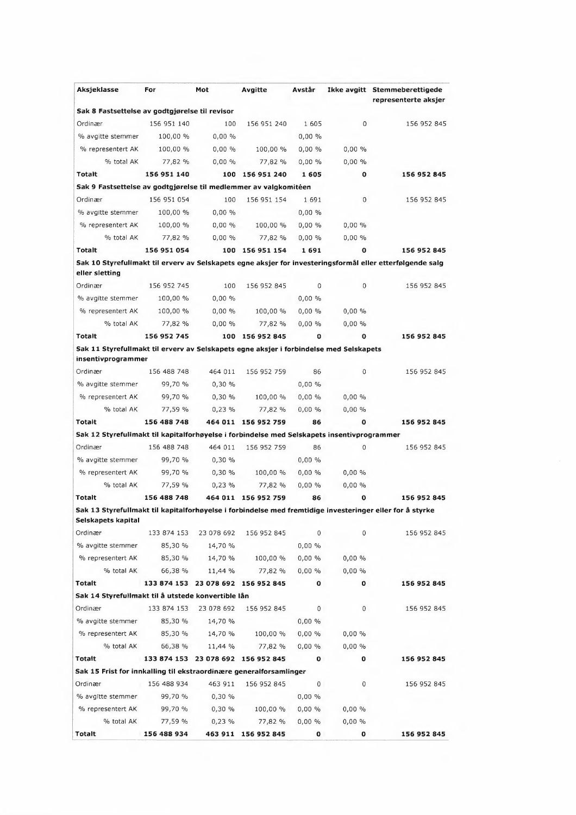| Aksjeklasse                                                                                                  | For         | Mot        | Avgitte                            | Avstår       |             | Ikke avgitt Stemmeberettigede<br>representerte aksjer                                                     |
|--------------------------------------------------------------------------------------------------------------|-------------|------------|------------------------------------|--------------|-------------|-----------------------------------------------------------------------------------------------------------|
| Sak 8 Fastsettelse av godtgjørelse til revisor                                                               |             |            |                                    |              |             |                                                                                                           |
| Ordinær                                                                                                      | 156 951 140 | 100        | 156 951 240                        | 1605         | $\Omega$    | 156 952 845                                                                                               |
| % avgitte stemmer                                                                                            | 100,00 %    | $0,00\%$   |                                    | $0,00\%$     |             |                                                                                                           |
| % representert AK                                                                                            | 100,00 %    | 0,00%      | 100,00 %                           | 0,00%        | 0,00%       |                                                                                                           |
| % total AK                                                                                                   | 77,82 %     | 0,00%      | 77,82 %                            | $0,00\%$     | 0,00%       |                                                                                                           |
| Totalt                                                                                                       | 156 951 140 |            | 100 156 951 240                    | 1605         | 0           | 156 952 845                                                                                               |
| Sak 9 Fastsettelse av godtgjørelse til medlemmer av valgkomitéen                                             |             |            |                                    |              |             |                                                                                                           |
| Ordinær                                                                                                      | 156 951 054 | 100        | 156 951 154                        | 1691         | 0           | 156 952 845                                                                                               |
| % avgitte stemmer                                                                                            | 100,00 %    | 0,00%      |                                    | 0.00%        |             |                                                                                                           |
| % representert AK                                                                                            | 100,00 %    | $0,00\%$   | 100,00 %                           | 0,00%        | 0,00%       |                                                                                                           |
| % total AK                                                                                                   | 77,82 %     | 0,00%      | 77,82 %                            | 0,00%        | 0,00%       |                                                                                                           |
| Totalt                                                                                                       | 156 951 054 |            | 100 156 951 154                    | 1691         | O           | 156 952 845                                                                                               |
| eller sletting                                                                                               |             |            |                                    |              |             | Sak 10 Styrefullmakt til erverv av Selskapets egne aksjer for investeringsformål eller etterfølgende salg |
| Ordinær                                                                                                      | 156 952 745 | 100        | 156 952 845                        | 0            | 0           | 156 952 845                                                                                               |
| % avgitte stemmer                                                                                            | 100,00 %    | 0,00%      |                                    | 0,00%        |             |                                                                                                           |
| % representert AK                                                                                            | 100,00 %    | 0,00%      | 100,00 %                           | $0,00\%$     | 0,00%       |                                                                                                           |
| % total AK                                                                                                   | 77,82 %     | 0,00%      | 77,82 %                            | $0,00\%$     | 0,00%       |                                                                                                           |
| <b>Totalt</b>                                                                                                | 156 952 745 |            | 100 156 952 845                    | 0            | $\mathbf o$ | 156 952 845                                                                                               |
| Sak 11 Styrefullmakt til erverv av Selskapets egne aksjer i forbindelse med Selskapets<br>insentivprogrammer |             |            |                                    |              |             |                                                                                                           |
| Ordinær                                                                                                      | 156 488 748 | 464 011    | 156 952 759                        | 86           | 0           | 156 952 845                                                                                               |
| % avgitte stemmer                                                                                            | 99,70 %     | 0,30%      |                                    | $0,00\%$     |             |                                                                                                           |
| % representert AK                                                                                            | 99,70 %     | 0,30%      | 100,00 %                           | $0,00\%$     | 0,00%       |                                                                                                           |
| % total AK                                                                                                   | 77,59 %     | 0,23%      | 77,82 %                            | 0,00%        | 0,00%       |                                                                                                           |
| <b>Totalt</b>                                                                                                | 156 488 748 |            | 464 011 156 952 759                | 86           | 0           | 156 952 845                                                                                               |
| Sak 12 Styrefullmakt til kapitalforhøyelse i forbindelse med Selskapets insentivprogrammer                   |             |            |                                    |              |             |                                                                                                           |
| Ordinær                                                                                                      | 156 488 748 | 464 011    | 156 952 759                        | 86           | 0           | 156 952 845                                                                                               |
| % avgitte stemmer                                                                                            | 99,70 %     | 0.30%      |                                    | 0.00%        |             |                                                                                                           |
| % representert AK                                                                                            | 99,70 %     | 0,30%      | 100,00 %                           | 0.00%        | 0,00%       |                                                                                                           |
| % total AK                                                                                                   | 77,59 %     | 0.23%      | 77.82 %                            | 0,00%        | 0,00%       |                                                                                                           |
| <b>Totalt</b>                                                                                                | 156 488 748 |            | 464 011 156 952 759                | 86           | 0           | 156 952 845                                                                                               |
|                                                                                                              |             |            |                                    |              |             | Sak 13 Styrefullmakt til kapitalforhøyelse i forbindelse med fremtidige investeringer eller for å styrke  |
| Selskapets kapital                                                                                           |             |            |                                    |              |             |                                                                                                           |
| Ordinær                                                                                                      | 133 874 153 | 23 078 692 | 156 952 845                        | 0            | 0           | 156 952 845                                                                                               |
| % avgitte stemmer                                                                                            | 85,30 %     | 14,70 %    |                                    | $0,00\%$     |             |                                                                                                           |
| % representert AK                                                                                            | 85,30 %     | 14,70 %    | 100,00 %                           | 0,00%        | $0,00\%$    |                                                                                                           |
| % total AK                                                                                                   | 66,38 %     | 11,44 %    | 77,82 %                            | 0,00%        | 0,00%       |                                                                                                           |
| Totalt                                                                                                       |             |            | 133 874 153 23 078 692 156 952 845 | 0            | o           | 156 952 845                                                                                               |
| Sak 14 Styrefullmakt til å utstede konvertible lån                                                           |             |            |                                    |              |             |                                                                                                           |
| Ordinær                                                                                                      | 133 874 153 | 23 078 692 | 156 952 845                        | 0            | 0           | 156 952 845                                                                                               |
| % avgitte stemmer                                                                                            | 85,30 %     | 14,70 %    |                                    | $0,00\%$     |             |                                                                                                           |
| % representert AK                                                                                            | 85,30 %     | 14,70 %    | 100,00 %                           | 0,00%        | $0,00\%$    |                                                                                                           |
| % total AK                                                                                                   | 66,38 %     | 11,44 %    | 77,82 %                            | $0,00\%$     | 0,00%       |                                                                                                           |
| Totalt                                                                                                       |             |            | 133 874 153 23 078 692 156 952 845 | 0            | 0           | 156 952 845                                                                                               |
| Sak 15 Frist for innkalling til ekstraordinære generalforsamlinger                                           |             |            |                                    |              |             |                                                                                                           |
| Ordinær                                                                                                      | 156 488 934 | 463 911    | 156 952 845                        | 0            | 0           | 156 952 845                                                                                               |
| % avgitte stemmer                                                                                            | 99,70 %     | 0,30%      |                                    | $0,00\%$     |             |                                                                                                           |
| % representert AK                                                                                            | 99,70 %     | 0,30%      | 100,00 %                           | $0,00\%$     | 0,00%       |                                                                                                           |
| % total AK                                                                                                   | 77,59 %     | 0,23 %     | 77,82 %                            | 0,00%        | $0,00\%$    |                                                                                                           |
| Totalt                                                                                                       | 156 488 934 |            | 463 911 156 952 845                | $\mathbf{O}$ | 0           | 156 952 845                                                                                               |